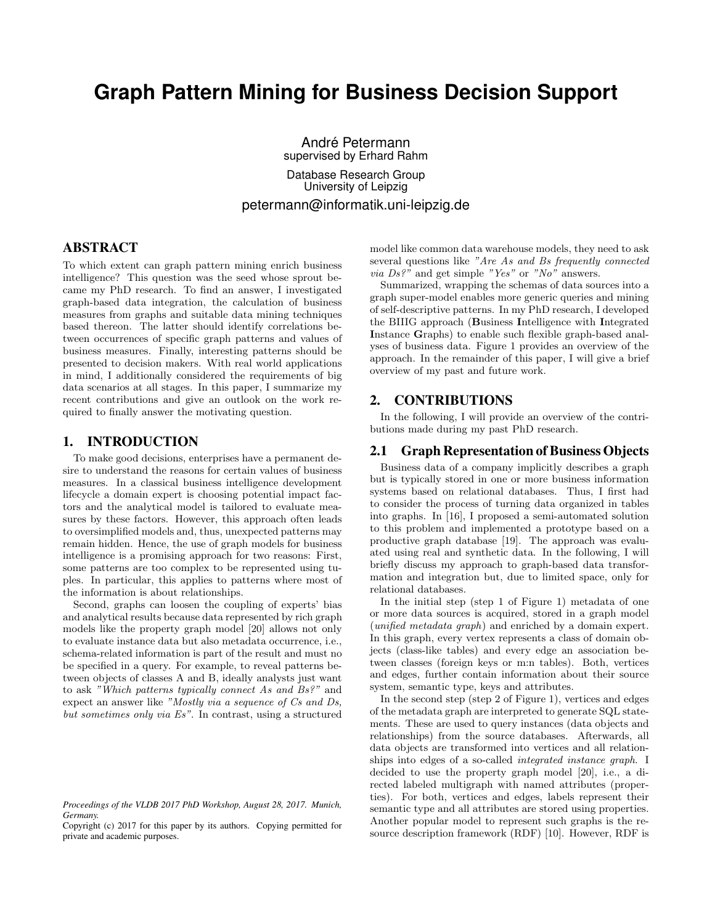# **Graph Pattern Mining for Business Decision Support**

André Petermann supervised by Erhard Rahm Database Research Group University of Leipzig petermann@informatik.uni-leipzig.de

# ABSTRACT

To which extent can graph pattern mining enrich business intelligence? This question was the seed whose sprout became my PhD research. To find an answer, I investigated graph-based data integration, the calculation of business measures from graphs and suitable data mining techniques based thereon. The latter should identify correlations between occurrences of specific graph patterns and values of business measures. Finally, interesting patterns should be presented to decision makers. With real world applications in mind, I additionally considered the requirements of big data scenarios at all stages. In this paper, I summarize my recent contributions and give an outlook on the work required to finally answer the motivating question.

# 1. INTRODUCTION

To make good decisions, enterprises have a permanent desire to understand the reasons for certain values of business measures. In a classical business intelligence development lifecycle a domain expert is choosing potential impact factors and the analytical model is tailored to evaluate measures by these factors. However, this approach often leads to oversimplified models and, thus, unexpected patterns may remain hidden. Hence, the use of graph models for business intelligence is a promising approach for two reasons: First, some patterns are too complex to be represented using tuples. In particular, this applies to patterns where most of the information is about relationships.

Second, graphs can loosen the coupling of experts' bias and analytical results because data represented by rich graph models like the property graph model [20] allows not only to evaluate instance data but also metadata occurrence, i.e., schema-related information is part of the result and must no be specified in a query. For example, to reveal patterns between objects of classes A and B, ideally analysts just want to ask "Which patterns typically connect As and Bs?" and expect an answer like "Mostly via a sequence of Cs and Ds, but sometimes only via Es". In contrast, using a structured

model like common data warehouse models, they need to ask several questions like "Are As and Bs frequently connected via Ds?" and get simple "Yes" or "No" answers.

Summarized, wrapping the schemas of data sources into a graph super-model enables more generic queries and mining of self-descriptive patterns. In my PhD research, I developed the BIIIG approach (Business Intelligence with Integrated Instance Graphs) to enable such flexible graph-based analyses of business data. Figure 1 provides an overview of the approach. In the remainder of this paper, I will give a brief overview of my past and future work.

#### 2. CONTRIBUTIONS

In the following, I will provide an overview of the contributions made during my past PhD research.

#### 2.1 Graph Representation of Business Objects

Business data of a company implicitly describes a graph but is typically stored in one or more business information systems based on relational databases. Thus, I first had to consider the process of turning data organized in tables into graphs. In [16], I proposed a semi-automated solution to this problem and implemented a prototype based on a productive graph database [19]. The approach was evaluated using real and synthetic data. In the following, I will briefly discuss my approach to graph-based data transformation and integration but, due to limited space, only for relational databases.

In the initial step (step 1 of Figure 1) metadata of one or more data sources is acquired, stored in a graph model (unified metadata graph) and enriched by a domain expert. In this graph, every vertex represents a class of domain objects (class-like tables) and every edge an association between classes (foreign keys or m:n tables). Both, vertices and edges, further contain information about their source system, semantic type, keys and attributes.

In the second step (step 2 of Figure 1), vertices and edges of the metadata graph are interpreted to generate SQL statements. These are used to query instances (data objects and relationships) from the source databases. Afterwards, all data objects are transformed into vertices and all relationships into edges of a so-called integrated instance graph. I decided to use the property graph model [20], i.e., a directed labeled multigraph with named attributes (properties). For both, vertices and edges, labels represent their semantic type and all attributes are stored using properties. Another popular model to represent such graphs is the resource description framework (RDF) [10]. However, RDF is

*Proceedings of the VLDB 2017 PhD Workshop, August 28, 2017. Munich, Germany.*

Copyright (c) 2017 for this paper by its authors. Copying permitted for private and academic purposes.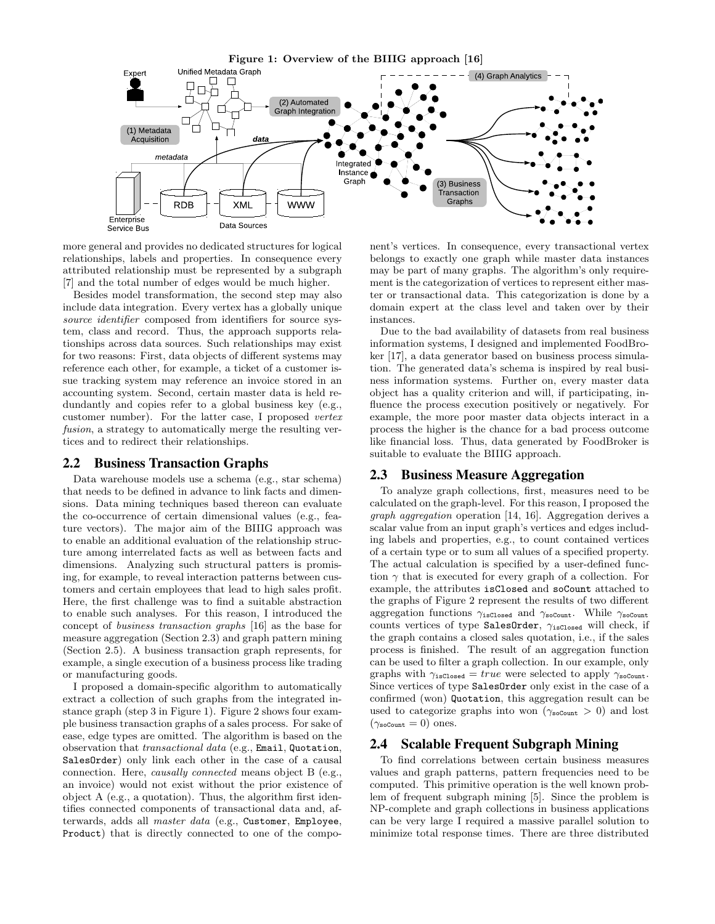

more general and provides no dedicated structures for logical relationships, labels and properties. In consequence every attributed relationship must be represented by a subgraph [7] and the total number of edges would be much higher.

Besides model transformation, the second step may also include data integration. Every vertex has a globally unique source identifier composed from identifiers for source system, class and record. Thus, the approach supports relationships across data sources. Such relationships may exist for two reasons: First, data objects of different systems may reference each other, for example, a ticket of a customer issue tracking system may reference an invoice stored in an accounting system. Second, certain master data is held redundantly and copies refer to a global business key (e.g., customer number). For the latter case, I proposed vertex fusion, a strategy to automatically merge the resulting vertices and to redirect their relationships.

#### 2.2 Business Transaction Graphs

Data warehouse models use a schema (e.g., star schema) that needs to be defined in advance to link facts and dimensions. Data mining techniques based thereon can evaluate the co-occurrence of certain dimensional values (e.g., feature vectors). The major aim of the BIIIG approach was to enable an additional evaluation of the relationship structure among interrelated facts as well as between facts and dimensions. Analyzing such structural patters is promising, for example, to reveal interaction patterns between customers and certain employees that lead to high sales profit. Here, the first challenge was to find a suitable abstraction to enable such analyses. For this reason, I introduced the concept of business transaction graphs [16] as the base for measure aggregation (Section 2.3) and graph pattern mining (Section 2.5). A business transaction graph represents, for example, a single execution of a business process like trading or manufacturing goods.

I proposed a domain-specific algorithm to automatically extract a collection of such graphs from the integrated instance graph (step 3 in Figure 1). Figure 2 shows four example business transaction graphs of a sales process. For sake of ease, edge types are omitted. The algorithm is based on the observation that transactional data (e.g., Email, Quotation, SalesOrder) only link each other in the case of a causal connection. Here, causally connected means object B (e.g., an invoice) would not exist without the prior existence of object A (e.g., a quotation). Thus, the algorithm first identifies connected components of transactional data and, afterwards, adds all master data (e.g., Customer, Employee, Product) that is directly connected to one of the compo-

nent's vertices. In consequence, every transactional vertex belongs to exactly one graph while master data instances may be part of many graphs. The algorithm's only requirement is the categorization of vertices to represent either master or transactional data. This categorization is done by a domain expert at the class level and taken over by their instances.

Due to the bad availability of datasets from real business information systems, I designed and implemented FoodBroker [17], a data generator based on business process simulation. The generated data's schema is inspired by real business information systems. Further on, every master data object has a quality criterion and will, if participating, influence the process execution positively or negatively. For example, the more poor master data objects interact in a process the higher is the chance for a bad process outcome like financial loss. Thus, data generated by FoodBroker is suitable to evaluate the BIIIG approach.

#### 2.3 Business Measure Aggregation

To analyze graph collections, first, measures need to be calculated on the graph-level. For this reason, I proposed the graph aggregation operation [14, 16]. Aggregation derives a scalar value from an input graph's vertices and edges including labels and properties, e.g., to count contained vertices of a certain type or to sum all values of a specified property. The actual calculation is specified by a user-defined function  $\gamma$  that is executed for every graph of a collection. For example, the attributes isClosed and soCount attached to the graphs of Figure 2 represent the results of two different aggregation functions  $\gamma_{\text{isClosed}}$  and  $\gamma_{\text{soCount}}$ . While  $\gamma_{\text{soCount}}$ counts vertices of type SalesOrder,  $\gamma_{\rm isClosed}$  will check, if the graph contains a closed sales quotation, i.e., if the sales process is finished. The result of an aggregation function can be used to filter a graph collection. In our example, only graphs with  $\gamma_{\text{isClosed}} = true$  were selected to apply  $\gamma_{\text{soCount}}$ . Since vertices of type SalesOrder only exist in the case of a confirmed (won) Quotation, this aggregation result can be used to categorize graphs into won ( $\gamma_{\text{softmax}} > 0$ ) and lost  $(\gamma_{\text{soCount}} = 0)$  ones.

## 2.4 Scalable Frequent Subgraph Mining

To find correlations between certain business measures values and graph patterns, pattern frequencies need to be computed. This primitive operation is the well known problem of frequent subgraph mining [5]. Since the problem is NP-complete and graph collections in business applications can be very large I required a massive parallel solution to minimize total response times. There are three distributed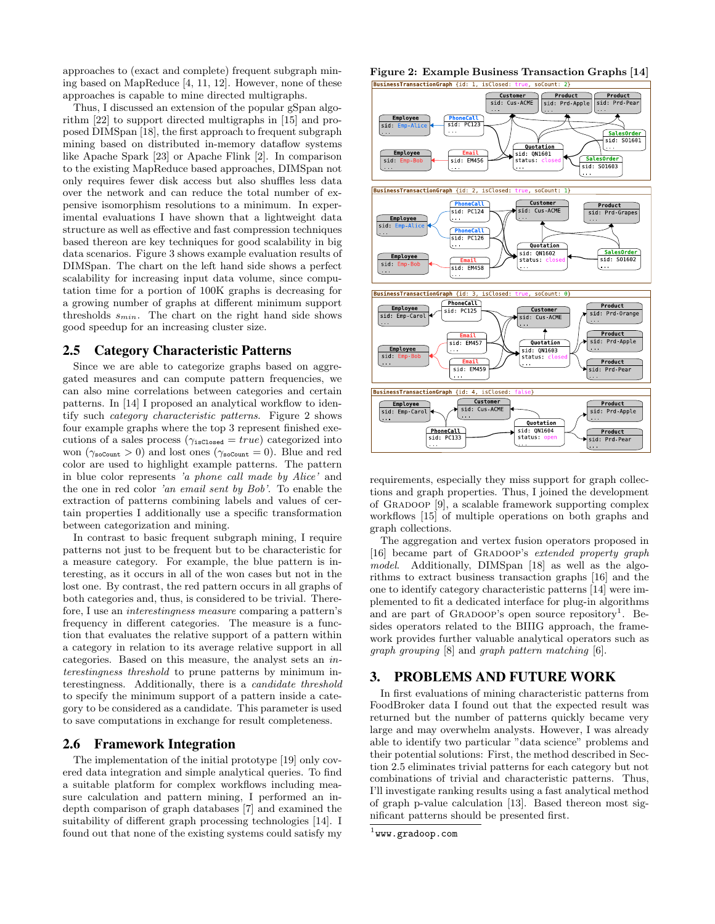approaches to (exact and complete) frequent subgraph mining based on MapReduce [4, 11, 12]. However, none of these approaches is capable to mine directed multigraphs.

Thus, I discussed an extension of the popular gSpan algorithm [22] to support directed multigraphs in [15] and proposed DIMSpan [18], the first approach to frequent subgraph mining based on distributed in-memory dataflow systems like Apache Spark [23] or Apache Flink [2]. In comparison to the existing MapReduce based approaches, DIMSpan not only requires fewer disk access but also shuffles less data over the network and can reduce the total number of expensive isomorphism resolutions to a minimum. In experimental evaluations I have shown that a lightweight data structure as well as effective and fast compression techniques based thereon are key techniques for good scalability in big data scenarios. Figure 3 shows example evaluation results of DIMSpan. The chart on the left hand side shows a perfect scalability for increasing input data volume, since computation time for a portion of 100K graphs is decreasing for a growing number of graphs at different minimum support thresholds  $s_{min}$ . The chart on the right hand side shows good speedup for an increasing cluster size.

#### 2.5 Category Characteristic Patterns

Since we are able to categorize graphs based on aggregated measures and can compute pattern frequencies, we can also mine correlations between categories and certain patterns. In [14] I proposed an analytical workflow to identify such category characteristic patterns. Figure 2 shows four example graphs where the top 3 represent finished executions of a sales process ( $\gamma_{\text{isClosed}} = true$ ) categorized into won ( $\gamma_{\text{softmax}} > 0$ ) and lost ones ( $\gamma_{\text{softmax}} = 0$ ). Blue and red color are used to highlight example patterns. The pattern in blue color represents 'a phone call made by Alice' and the one in red color 'an email sent by Bob'. To enable the extraction of patterns combining labels and values of certain properties I additionally use a specific transformation between categorization and mining.

In contrast to basic frequent subgraph mining, I require patterns not just to be frequent but to be characteristic for a measure category. For example, the blue pattern is interesting, as it occurs in all of the won cases but not in the lost one. By contrast, the red pattern occurs in all graphs of both categories and, thus, is considered to be trivial. Therefore, I use an interestingness measure comparing a pattern's frequency in different categories. The measure is a function that evaluates the relative support of a pattern within a category in relation to its average relative support in all categories. Based on this measure, the analyst sets an interestingness threshold to prune patterns by minimum interestingness. Additionally, there is a candidate threshold to specify the minimum support of a pattern inside a category to be considered as a candidate. This parameter is used to save computations in exchange for result completeness.

#### 2.6 Framework Integration

The implementation of the initial prototype [19] only covered data integration and simple analytical queries. To find a suitable platform for complex workflows including measure calculation and pattern mining, I performed an indepth comparison of graph databases [7] and examined the suitability of different graph processing technologies [14]. I found out that none of the existing systems could satisfy my

# Figure 2: Example Business Transaction Graphs [14]<br> **EUSINESS TRANSACTION FOR THE (13: 1, 15Closed:** true, soCount: 2)



requirements, especially they miss support for graph collections and graph properties. Thus, I joined the development of Gradoop [9], a scalable framework supporting complex workflows [15] of multiple operations on both graphs and graph collections.

The aggregation and vertex fusion operators proposed in [16] became part of GRADOOP's extended property graph model. Additionally, DIMSpan [18] as well as the algorithms to extract business transaction graphs [16] and the one to identify category characteristic patterns [14] were implemented to fit a dedicated interface for plug-in algorithms and are part of GRADOOP's open source repository<sup>1</sup>. Besides operators related to the BIIIG approach, the framework provides further valuable analytical operators such as graph grouping [8] and graph pattern matching [6].

### 3. PROBLEMS AND FUTURE WORK

In first evaluations of mining characteristic patterns from FoodBroker data I found out that the expected result was returned but the number of patterns quickly became very large and may overwhelm analysts. However, I was already able to identify two particular "data science" problems and their potential solutions: First, the method described in Section 2.5 eliminates trivial patterns for each category but not combinations of trivial and characteristic patterns. Thus, I'll investigate ranking results using a fast analytical method of graph p-value calculation [13]. Based thereon most significant patterns should be presented first.

 $^{\rm 1}$ www.gradoop.com